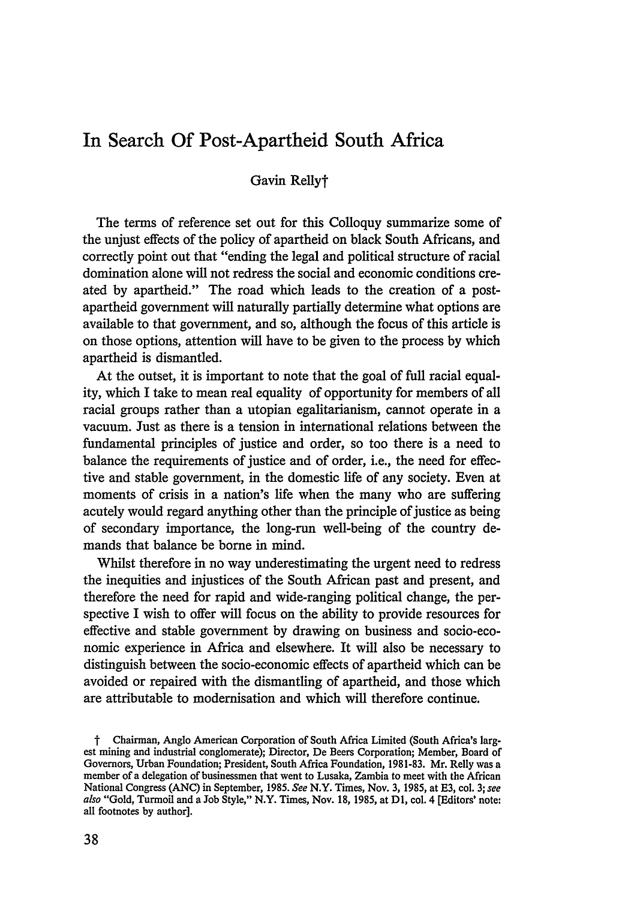# In Search **Of** Post-Apartheid South Africa

# Gavin Rellyt

The terms of reference set out for this Colloquy summarize some of the unjust effects of the policy of apartheid on black South Africans, and correctly point out that "ending the legal and political structure of racial domination alone will not redress the social and economic conditions created by apartheid." The road which leads to the creation of a postapartheid government will naturally partially determine what options are available to that government, and so, although the focus of this article is on those options, attention will have to be given to the process by which apartheid is dismantled.

At the outset, it is important to note that the goal of full racial equality, which I take to mean real equality of opportunity for members of all racial groups rather than a utopian egalitarianism, cannot operate in a vacuum. Just as there is a tension in international relations between the fundamental principles of justice and order, so too there is a need to balance the requirements of justice and of order, i.e., the need for effective and stable government, in the domestic life of any society. Even at moments of crisis in a nation's life when the many who are suffering acutely would regard anything other than the principle of justice as being of secondary importance, the long-run well-being of the country demands that balance be borne in mind.

Whilst therefore in no way underestimating the urgent need to redress the inequities and injustices of the South African past and present, and therefore the need for rapid and wide-ranging political change, the perspective I wish to offer will focus on the ability to provide resources for effective and stable government by drawing on business and socio-economic experience in Africa and elsewhere. It will also be necessary to distinguish between the socio-economic effects of apartheid which can be avoided or repaired with the dismantling of apartheid, and those which are attributable to modernisation and which will therefore continue.

t Chairman, Anglo American Corporation of South Africa Limited (South Africa's largest mining and industrial conglomerate); Director, De Beers Corporation; Member, Board of Governors, Urban Foundation; President, South Africa Foundation, 1981-83. Mr. Relly was a member of a delegation of businessmen that went to Lusaka, Zambia to meet with the African National Congress **(ANC)** in September, 1985. *See* N.Y. Times, Nov. 3, 1985, at E3, col. 3; *see also* "Gold, Turmoil and a Job Style," N.Y. Times, Nov. 18, 1985, at **D1,** col. 4 [Editors' note: all footnotes by author].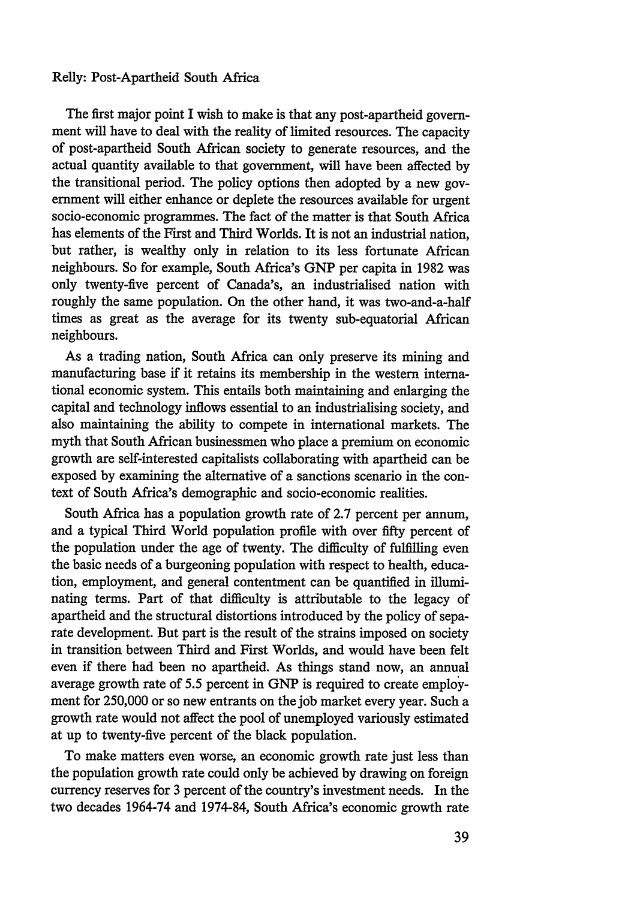## Relly: Post-Apartheid South Africa

The first major point I wish to make is that any post-apartheid government will have to deal with the reality of limited resources. The capacity of post-apartheid South African society to generate resources, and the actual quantity available to that government, will have been affected by the transitional period. The policy options then adopted by a new government will either enhance or deplete the resources available for urgent socio-economic programmes. The fact of the matter is that South Africa has elements of the First and Third Worlds. It is not an industrial nation, but rather, is wealthy only in relation to its less fortunate African neighbours. So for example, South Africa's **GNP** per capita in 1982 was only twenty-five percent of Canada's, an industrialised nation with roughly the same population. On the other hand, it was two-and-a-half times as great as the average for its twenty sub-equatorial African neighbours.

As a trading nation, South Africa can only preserve its mining and manufacturing base if it retains its membership in the western international economic system. This entails both maintaining and enlarging the capital and technology inflows essential to an industrialising society, and also maintaining the ability to compete in international markets. The myth that South African businessmen who place a premium on economic growth are self-interested capitalists collaborating with apartheid can be exposed by examining the alternative of a sanctions scenario in the context of South Africa's demographic and socio-economic realities.

South Africa has a population growth rate of 2.7 percent per annum, and a typical Third World population profile with over fifty percent of the population under the age of twenty. The difficulty of fulfilling even the basic needs of a burgeoning population with respect to health, education, employment, and general contentment can be quantified in illuminating terms. Part of that difficulty is attributable to the legacy of apartheid and the structural distortions introduced by the policy of separate development. But part is the result of the strains imposed on society in transition between Third and First Worlds, and would have been felt even if there had been no apartheid. As things stand now, an annual average growth rate of 5.5 percent in GNP is required to create employment for 250,000 or so new entrants on the job market every year. Such a growth rate would not affect the pool of unemployed variously estimated at up to twenty-five percent of the black population.

To make matters even worse, an economic growth rate just less than the population growth rate could only be achieved by drawing on foreign currency reserves for 3 percent of the country's investment needs. In the two decades 1964-74 and 1974-84, South Africa's economic growth rate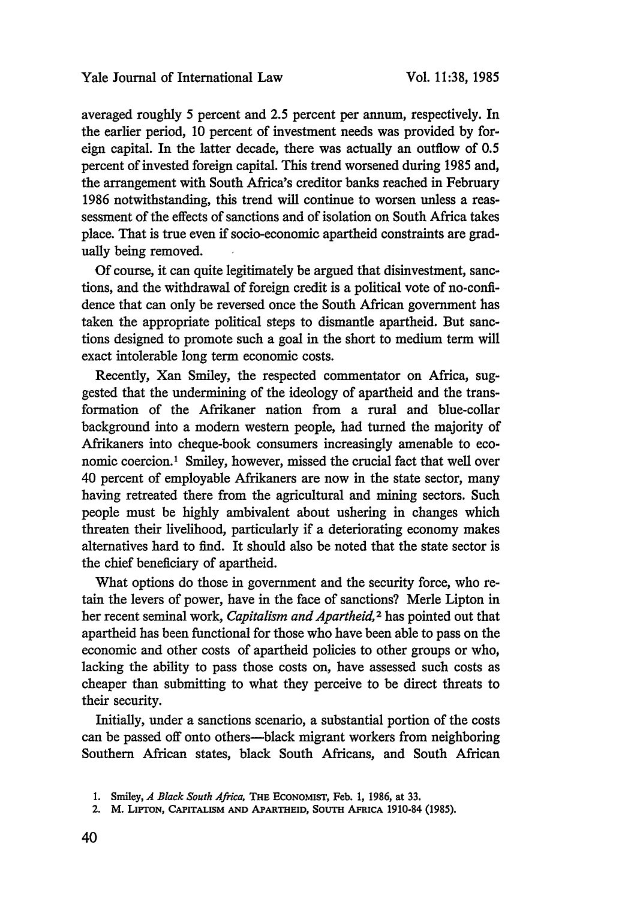averaged roughly 5 percent and 2.5 percent per annum, respectively. In the earlier period, 10 percent of investment needs was provided by foreign capital. In the latter decade, there was actually an outflow of 0.5 percent of invested foreign capital. This trend worsened during 1985 and, the arrangement with South Africa's creditor banks reached in February 1986 notwithstanding, this trend will continue to worsen unless a reassessment of the effects of sanctions and of isolation on South Africa takes place. That is true even if socio-economic apartheid constraints are gradually being removed.

Of course, it can quite legitimately be argued that disinvestment, sanctions, and the withdrawal of foreign credit is a political vote of no-confidence that can only be reversed once the South African government has taken the appropriate political steps to dismantle apartheid. But sanctions designed to promote such a goal in the short to medium term will exact intolerable long term economic costs.

Recently, Xan Smiley, the respected commentator on Africa, suggested that the undermining of the ideology of apartheid and the transformation of the Afrikaner nation from a rural and blue-collar background into a modern western people, had turned the majority of Afrikaners into cheque-book consumers increasingly amenable to economic coercion.' Smiley, however, missed the crucial fact that well over 40 percent of employable Afrikaners are now in the state sector, many having retreated there from the agricultural and mining sectors. Such people must be highly ambivalent about ushering in changes which threaten their livelihood, particularly if a deteriorating economy makes alternatives hard to find. It should also be noted that the state sector is the chief beneficiary of apartheid.

What options do those in government and the security force, who retain the levers of power, have in the face of sanctions? Merle Lipton in her recent seminal work, *Capitalism and Apartheid,2* has pointed out that apartheid has been functional for those who have been able to pass on the economic and other costs of apartheid policies to other groups or who, lacking the ability to pass those costs on, have assessed such costs as cheaper than submitting to what they perceive to be direct threats to their security.

Initially, under a sanctions scenario, a substantial portion of the costs can be passed off onto others-black migrant workers from neighboring Southern African states, black South Africans, and South African

**<sup>1.</sup> Smiley,** *A Black South Africa,* THE **ECONOMIST,** Feb. **1, 1986, at 33.**

<sup>2.</sup> M. LIPTON, CAPITALISM **AND** APARTHEID, SOUTH AFRICA 1910-84 **(1985).**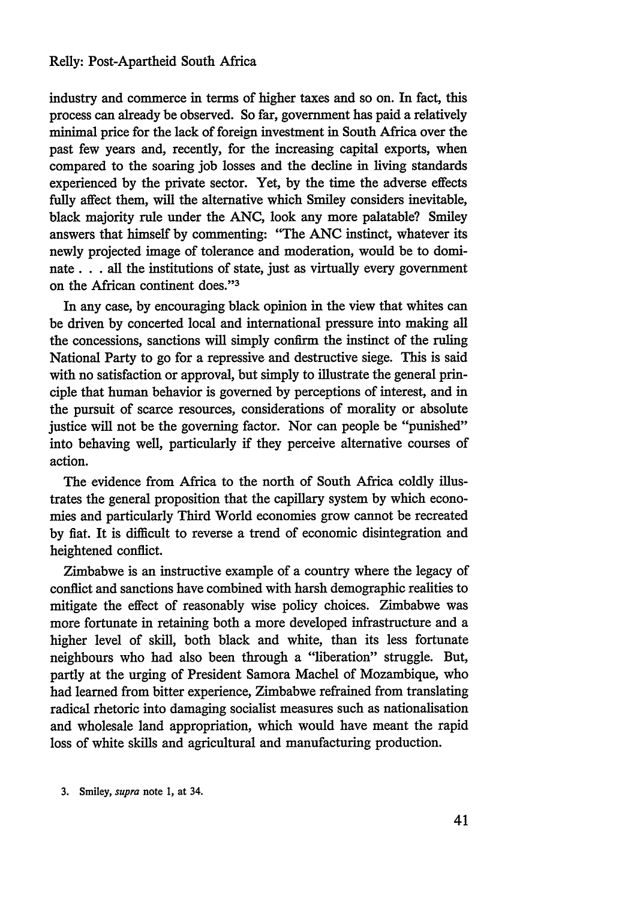industry and commerce in terms of higher taxes and so on. In fact, this process can already be observed. So far, government has paid a relatively minimal price for the lack of foreign investment in South Africa over the past few years and, recently, for the increasing capital exports, when compared to the soaring job losses and the decline in living standards experienced by the private sector. Yet, by the time the adverse effects fully affect them, will the alternative which Smiley considers inevitable, black majority rule under the ANC, look any more palatable? Smiley answers that himself by commenting: "The **ANC** instinct, whatever its newly projected image of tolerance and moderation, would be to dominate. **. .** all the institutions of state, just as virtually every government on the African continent does."<sup>3</sup>

In any case, by encouraging black opinion in the view that whites can be driven by concerted local and international pressure into making all the concessions, sanctions will simply confirm the instinct of the ruling National Party to go for a repressive and destructive siege. This is said with no satisfaction or approval, but simply to illustrate the general principle that human behavior is governed by perceptions of interest, and in the pursuit of scarce resources, considerations of morality or absolute justice will not be the governing factor. Nor can people be "punished" into behaving well, particularly if they perceive alternative courses of action.

The evidence from Africa to the north of South Africa coldly illustrates the general proposition that the capillary system by which economies and particularly Third World economies grow cannot be recreated by fiat. It is difficult to reverse a trend of economic disintegration and heightened conflict.

Zimbabwe is an instructive example of a country where the legacy of conflict and sanctions have combined with harsh demographic realities to mitigate the effect of reasonably wise policy choices. Zimbabwe was more fortunate in retaining both a more developed infrastructure and a higher level of skill, both black and white, than its less fortunate neighbours who had also been through a "liberation" struggle. But, partly at the urging of President Samora Machel of Mozambique, who had learned from bitter experience, Zimbabwe refrained from translating radical rhetoric into damaging socialist measures such as nationalisation and wholesale land appropriation, which would have meant the rapid loss of white skills and agricultural and manufacturing production.

3. Smiley, *supra* note **1,** at 34.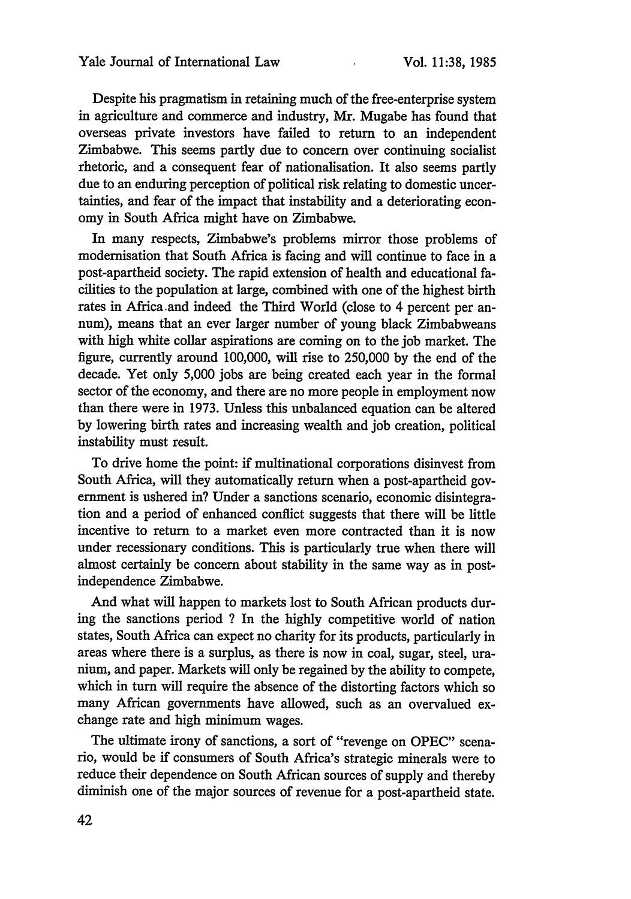Despite his pragmatism in retaining much of the free-enterprise system in agriculture and commerce and industry, Mr. Mugabe has found that overseas private investors have failed to return to an independent Zimbabwe. This seems partly due to concern over continuing socialist rhetoric, and a consequent fear of nationalisation. It also seems partly due to an enduring perception of political risk relating to domestic uncertainties, and fear of the impact that instability and a deteriorating economy in South Africa might have on Zimbabwe.

In many respects, Zimbabwe's problems mirror those problems of modernisation that South Africa is facing and will continue to face in a post-apartheid society. The rapid extension of health and educational facilities to the population at large, combined with one of the highest birth rates in Africa.and indeed the Third World (close to 4 percent per annum), means that an ever larger number of young black Zimbabweans with high white collar aspirations are coming on to the job market. The figure, currently around 100,000, will rise to 250,000 by the end of the decade. Yet only 5,000 jobs are being created each year in the formal sector of the economy, and there are no more people in employment now than there were in 1973. Unless this unbalanced equation can be altered by lowering birth rates and increasing wealth and job creation, political instability must result.

To drive home the point: if multinational corporations disinvest from South Africa, will they automatically return when a post-apartheid government is ushered in? Under a sanctions scenario, economic disintegration and a period of enhanced conflict suggests that there will be little incentive to return to a market even more contracted than it is now under recessionary conditions. This is particularly true when there will almost certainly be concern about stability in the same way as in postindependence Zimbabwe.

And what will happen to markets lost to South African products during the sanctions period ? In the highly competitive world of nation states, South Africa can expect no charity for its products, particularly in areas where there is a surplus, as there is now in coal, sugar, steel, uranium, and paper. Markets will only be regained by the ability to compete, which in turn will require the absence of the distorting factors which so many African governments have allowed, such as an overvalued exchange rate and high minimum wages.

The ultimate irony of sanctions, a sort of "revenge on OPEC" scenario, would be if consumers of South Africa's strategic minerals were to reduce their dependence on South African sources of supply and thereby diminish one of the major sources of revenue for a post-apartheid state.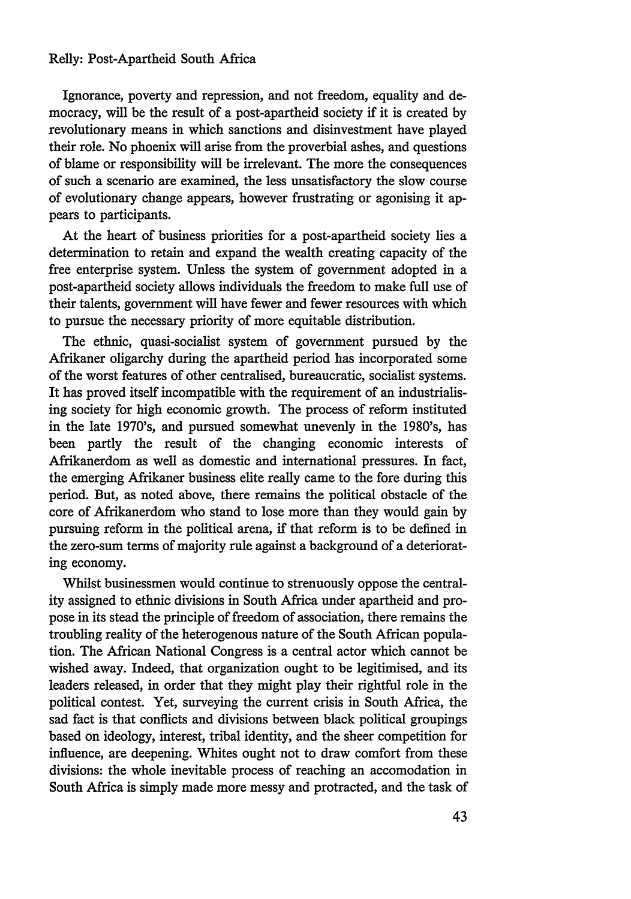Ignorance, poverty and repression, and not freedom, equality and democracy, will be the result of a post-apartheid society if it is created by revolutionary means in which sanctions and disinvestment have played their role. No phoenix will arise from the proverbial ashes, and questions of blame or responsibility will be irrelevant. The more the consequences of such a scenario are examined, the less unsatisfactory the slow course of evolutionary change appears, however frustrating or agonising it appears to participants.

At the heart of business priorities for a post-apartheid society lies a determination to retain and expand the wealth creating capacity of the free enterprise system. Unless the system of government adopted in a post-apartheid society allows individuals the freedom to make full use of their talents, government will have fewer and fewer resources with which to pursue the necessary priority of more equitable distribution.

The ethnic, quasi-socialist system of government pursued by the Afrikaner oligarchy during the apartheid period has incorporated some of the worst features of other centralised, bureaucratic, socialist systems. It has proved itself incompatible with the requirement of an industrialising society for high economic growth. The process of reform instituted in the late 1970's, and pursued somewhat unevenly in the 1980's, has been partly the result of the changing economic interests of Afrikanerdom as well as domestic and international pressures. In fact, the emerging Afrikaner business elite really came to the fore during this period. But, as noted above, there remains the political obstacle of the core of Afrikanerdom who stand to lose more than they would gain by pursuing reform in the political arena, if that reform is to be defined in the zero-sum terms of majority rule against a background of a deteriorating economy.

Whilst businessmen would continue to strenuously oppose the centrality assigned to ethnic divisions in South Africa under apartheid and propose in its stead the principle of freedom of association, there remains the troubling reality of the heterogenous nature of the South African population. The African National Congress is a central actor which cannot be wished away. Indeed, that organization ought to be legitimised, and its leaders released, in order that they might play their rightful role in the political contest. Yet, surveying the current crisis in South Africa, the sad fact is that conflicts and divisions between black political groupings based on ideology, interest, tribal identity, and the sheer competition for influence, are deepening. Whites ought not to draw comfort from these divisions: the whole inevitable process of reaching an accomodation in South Africa is simply made more messy and protracted, and the task of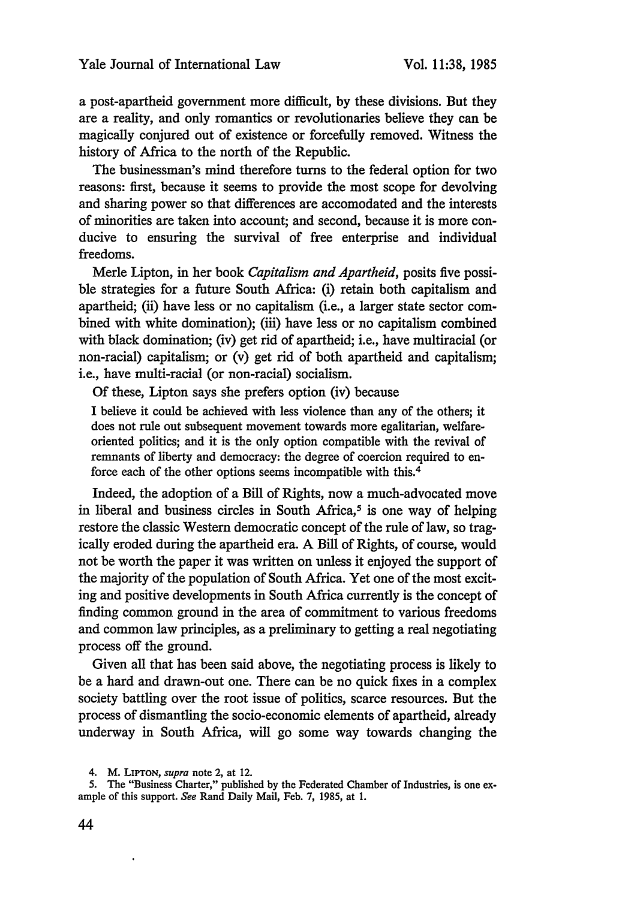a post-apartheid government more difficult, by these divisions. But they are a reality, and only romantics or revolutionaries believe they can be magically conjured out of existence or forcefully removed. Witness the history of Africa to the north of the Republic.

The businessman's mind therefore turns to the federal option for two reasons: first, because it seems to provide the most scope for devolving and sharing power so that differences are accomodated and the interests of minorities are taken into account; and second, because it is more conducive to ensuring the survival of free enterprise and individual freedoms.

Merle Lipton, in her book *Capitalism and Apartheid,* posits five possible strategies for a future South Africa: (i) retain both capitalism and apartheid; (ii) have less or no capitalism (i.e., a larger state sector combined with white domination); (iii) have less or no capitalism combined with black domination; (iv) get rid of apartheid; i.e., have multiracial (or non-racial) capitalism; or (v) get rid of both apartheid and capitalism; i.e., have multi-racial (or non-racial) socialism.

Of these, Lipton says she prefers option (iv) because

I believe it could be achieved with less violence than any of the others; it does not rule out subsequent movement towards more egalitarian, welfareoriented politics; and it is the only option compatible with the revival of remnants of liberty and democracy: the degree of coercion required to enforce each of the other options seems incompatible with this.<sup>4</sup>

Indeed, the adoption of a Bill of Rights, now a much-advocated move in liberal and business circles in South Africa, $5$  is one way of helping restore the classic Western democratic concept of the rule of law, so tragically eroded during the apartheid era. A Bill of Rights, of course, would not be worth the paper it was written on unless it enjoyed the support of the majority of the population of South Africa. Yet one of the most exciting and positive developments in South Africa currently is the concept of finding common ground in the area of commitment to various freedoms and common law principles, as a preliminary to getting a real negotiating process off the ground.

Given all that has been said above, the negotiating process is likely to be a hard and drawn-out one. There can be no quick fixes in a complex society battling over the root issue of politics, scarce resources. But the process of dismantling the socio-economic elements of apartheid, already underway in South Africa, will go some way towards changing the

 $\ddot{\phantom{1}}$ 

<sup>4.</sup> M. LIPTON, *supra* note 2, at 12.

<sup>5.</sup> The "Business Charter," published by the Federated Chamber of Industries, is one example of this support. *See* Rand Daily Mail, Feb. 7, 1985, at 1.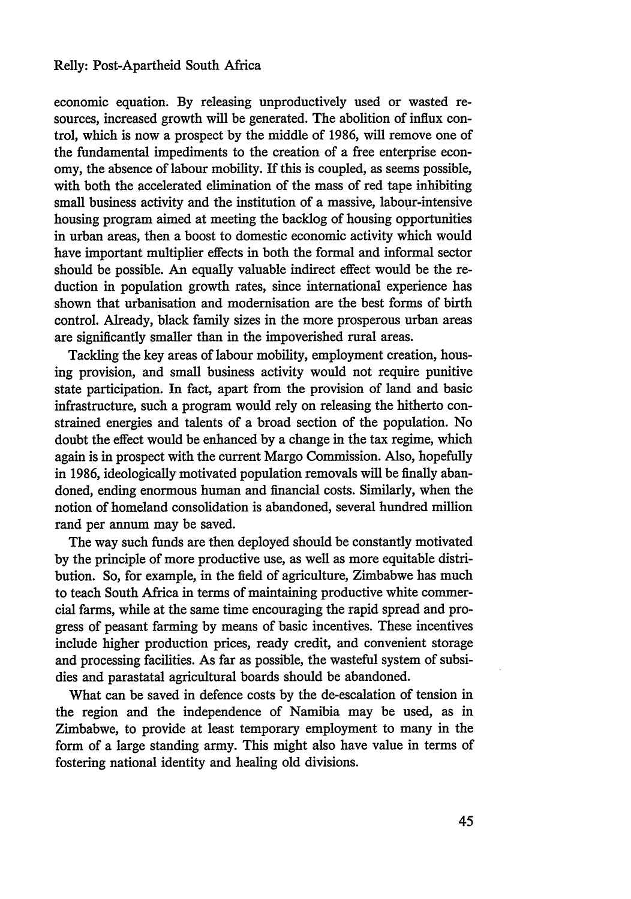### Relly: Post-Apartheid South Africa

economic equation. **By** releasing unproductively used or wasted resources, increased growth will be generated. The abolition of influx control, which is now a prospect by the middle of 1986, will remove one of the fundamental impediments to the creation of a free enterprise economy, the absence of labour mobility. If this is coupled, as seems possible, with both the accelerated elimination of the mass of red tape inhibiting small business activity and the institution of a massive, labour-intensive housing program aimed at meeting the backlog of housing opportunities in urban areas, then a boost to domestic economic activity which would have important multiplier effects in both the formal and informal sector should be possible. An equally valuable indirect effect would be the reduction in population growth rates, since international experience has shown that urbanisation and modernisation are the best forms of birth control. Already, black family sizes in the more prosperous urban areas are significantly smaller than in the impoverished rural areas.

Tackling the key areas of labour mobility, employment creation, housing provision, and small business activity would not require punitive state participation. In fact, apart from the provision of land and basic infrastructure, such a program would rely on releasing the hitherto constrained energies and talents of a broad section of the population. No doubt the effect would be enhanced by a change in the tax regime, which again is in prospect with the current Margo Commission. Also, hopefully in 1986, ideologically motivated population removals will be finally abandoned, ending enormous human and financial costs. Similarly, when the notion of homeland consolidation is abandoned, several hundred million rand per annum may be saved.

The way such funds are then deployed should be constantly motivated by the principle of more productive use, as well as more equitable distribution. So, for example, in the field of agriculture, Zimbabwe has much to teach South Africa in terms of maintaining productive white commercial farms, while at the same time encouraging the rapid spread and progress of peasant farming by means of basic incentives. These incentives include higher production prices, ready credit, and convenient storage and processing facilities. As far as possible, the wasteful system of subsidies and parastatal agricultural boards should be abandoned.

What can be saved in defence costs by the de-escalation of tension in the region and the independence of Namibia may be used, as in Zimbabwe, to provide at least temporary employment to many in the form of a large standing army. This might also have value in terms of fostering national identity and healing old divisions.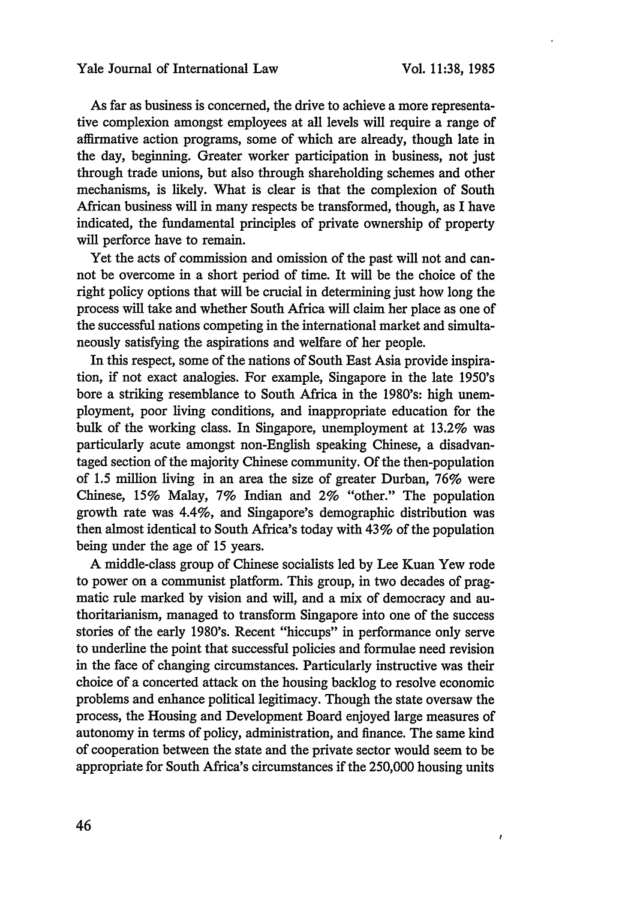ł

As far as business is concerned, the drive to achieve a more representative complexion amongst employees at all levels will require a range of affirmative action programs, some of which are already, though late in the day, beginning. Greater worker participation in business, not just through trade unions, but also through shareholding schemes and other mechanisms, is likely. What is clear is that the complexion of South African business will in many respects be transformed, though, as I have indicated, the fundamental principles of private ownership of property will perforce have to remain.

Yet the acts of commission and omission of the past will not and cannot be overcome in a short period of time. It will be the choice of the right policy options that will be crucial in determining just how long the process will take and whether South Africa will claim her place as one of the successful nations competing in the international market and simultaneously satisfying the aspirations and welfare of her people.

In this respect, some of the nations of South East Asia provide inspiration, if not exact analogies. For example, Singapore in the late 1950's bore a striking resemblance to South Africa in the 1980's: high unemployment, poor living conditions, and inappropriate education for the bulk of the working class. In Singapore, unemployment at 13.2% was particularly acute amongst non-English speaking Chinese, a disadvantaged section of the majority Chinese community. Of the then-population of 1.5 million living in an area the size of greater Durban, 76% were Chinese, 15% Malay, 7% Indian and 2% "other." The population growth rate was 4.4%, and Singapore's demographic distribution was then almost identical to South Africa's today with 43% of the population being under the age of 15 years.

A middle-class group of Chinese socialists led by Lee Kuan Yew rode to power on a communist platform. This group, in two decades of pragmatic rule marked by vision and will, and a mix of democracy and authoritarianism, managed to transform Singapore into one of the success stories of the early 1980's. Recent "hiccups" in performance only serve to underline the point that successful policies and formulae need revision in the face of changing circumstances. Particularly instructive was their choice of a concerted attack on the housing backlog to resolve economic problems and enhance political legitimacy. Though the state oversaw the process, the Housing and Development Board enjoyed large measures of autonomy in terms of policy, administration, and finance. The same kind of cooperation between the state and the private sector would seem to be appropriate for South Africa's circumstances if the 250,000 housing units